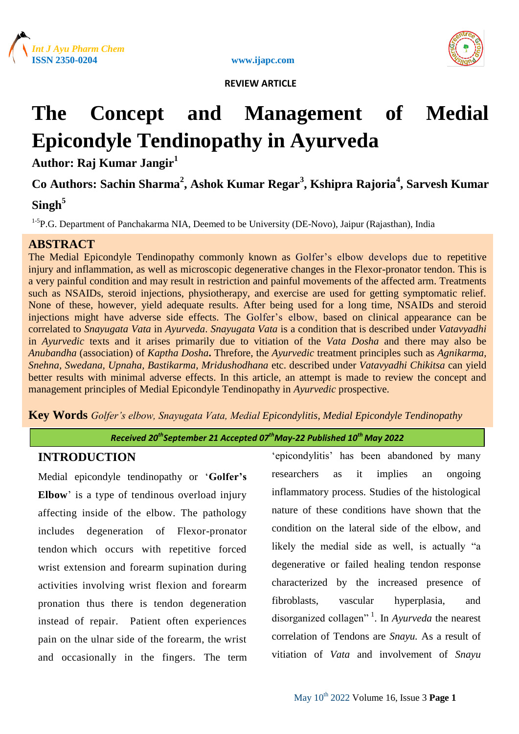



# **The Concept and Management of Medial Epicondyle Tendinopathy in Ayurveda**

**Author: Raj Kumar Jangir<sup>1</sup>**

# **Co Authors: Sachin Sharma<sup>2</sup> , Ashok Kumar Regar<sup>3</sup> , Kshipra Rajoria<sup>4</sup> , Sarvesh Kumar**

# **Singh<sup>5</sup>**

<sup>1-5</sup>P.G. Department of Panchakarma NIA, Deemed to be University (DE-Novo), Jaipur (Rajasthan), India

# **ABSTRACT**

The Medial Epicondyle Tendinopathy commonly known as Golfer's elbow develops due to repetitive injury and inflammation, as well as microscopic degenerative changes in the Flexor-pronator tendon. This is a very painful condition and may result in restriction and painful movements of the affected arm. Treatments such as NSAIDs, steroid injections, physiotherapy, and exercise are used for getting symptomatic relief. None of these, however, yield adequate results. After being used for a long time, NSAIDs and steroid injections might have adverse side effects. The Golfer's elbow, based on clinical appearance can be correlated to *Snayugata Vata* in *Ayurveda*. *Snayugata Vata* is a condition that is described under *Vatavyadhi* in *Ayurvedic* texts and it arises primarily due to vitiation of the *Vata Dosha* and there may also be *Anubandha* (association) of *Kaptha Dosha***.** Threfore, the *Ayurvedic* treatment principles such as *Agnikarma, Snehna, Swedana, Upnaha, Bastikarma, Mridushodhana* etc. described under *Vatavyadhi Chikitsa* can yield better results with minimal adverse effects. In this article, an attempt is made to review the concept and management principles of Medial Epicondyle Tendinopathy in *Ayurvedic* prospective.

**Key Words** *Golfer's elbow, Snayugata Vata, Medial Epicondylitis, Medial Epicondyle Tendinopathy*

*Received 20thSeptember 21 Accepted 07thMay-22 Published 10th May 2022*

# **INTRODUCTION**

Medial epicondyle tendinopathy or "**Golfer's Elbow**' is a type of tendinous overload injury affecting inside of the elbow. The pathology includes degeneration of Flexor-pronator tendon which occurs with repetitive forced wrist extension and forearm supination during activities involving wrist flexion and forearm pronation thus there is tendon degeneration instead of repair. Patient often experiences pain on the ulnar side of the forearm, the wrist and occasionally in the fingers. The term

"epicondylitis" has been abandoned by many researchers as it implies an ongoing inflammatory process. Studies of the histological nature of these conditions have shown that the condition on the lateral side of the elbow, and likely the medial side as well, is actually "a degenerative or failed healing tendon response characterized by the increased presence of fibroblasts, vascular hyperplasia, and disorganized collagen" <sup>1</sup> . In *Ayurveda* the nearest correlation of Tendons are *Snayu.* As a result of vitiation of *Vata* and involvement of *Snayu*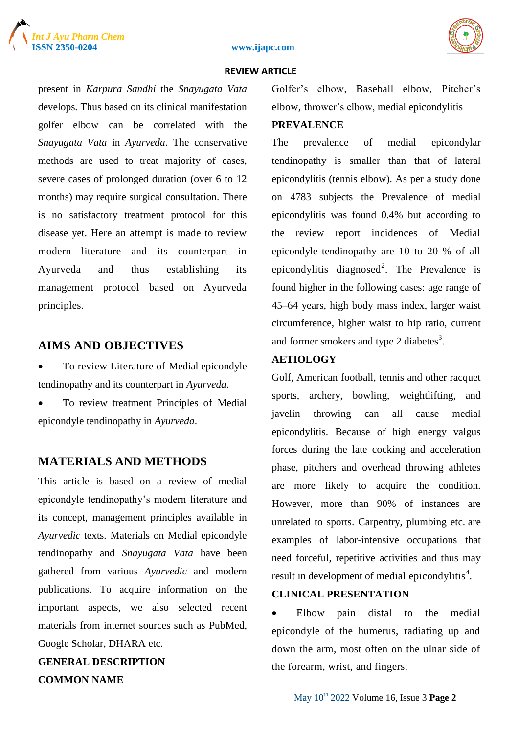





present in *Karpura Sandhi* the *Snayugata Vata*  develops*.* Thus based on its clinical manifestation golfer elbow can be correlated with the *Snayugata Vata* in *Ayurveda*. The conservative methods are used to treat majority of cases, severe cases of prolonged duration (over 6 to 12 months) may require surgical consultation. There is no satisfactory treatment protocol for this disease yet. Here an attempt is made to review modern literature and its counterpart in Ayurveda and thus establishing its management protocol based on Ayurveda principles.

# **AIMS AND OBJECTIVES**

- To review Literature of Medial epicondyle tendinopathy and its counterpart in *Ayurveda*.
- To review treatment Principles of Medial epicondyle tendinopathy in *Ayurveda*.

# **MATERIALS AND METHODS**

This article is based on a review of medial epicondyle tendinopathy"s modern literature and its concept, management principles available in *Ayurvedic* texts. Materials on Medial epicondyle tendinopathy and *Snayugata Vata* have been gathered from various *Ayurvedic* and modern publications. To acquire information on the important aspects, we also selected recent materials from internet sources such as PubMed, Google Scholar, DHARA etc.

**GENERAL DESCRIPTION COMMON NAME**

Golfer's elbow, Baseball elbow, Pitcher's elbow, thrower"s elbow, medial epicondylitis

#### **PREVALENCE**

The prevalence of medial epicondylar tendinopathy is smaller than that of lateral epicondylitis (tennis elbow). As per a study done on 4783 subjects the Prevalence of medial epicondylitis was found 0.4% but according to the review report incidences of Medial epicondyle tendinopathy are 10 to 20 % of all epicondylitis diagnosed<sup>2</sup>. The Prevalence is found higher in the following cases: age range of 45–64 years, high body mass index, larger waist circumference, higher waist to hip ratio, current and former smokers and type 2 diabetes<sup>3</sup>.

# **AETIOLOGY**

Golf, American football, tennis and other racquet sports, archery, bowling, weightlifting, and javelin throwing can all cause medial epicondylitis. Because of high energy valgus forces during the late cocking and acceleration phase, pitchers and overhead throwing athletes are more likely to acquire the condition. However, more than 90% of instances are unrelated to sports. Carpentry, plumbing etc. are examples of labor-intensive occupations that need forceful, repetitive activities and thus may result in development of medial epicondylitis $4$ .

# **CLINICAL PRESENTATION**

• Elbow pain distal to the medial epicondyle of the humerus, radiating up and down the arm, most often on the ulnar side of the forearm, wrist, and fingers.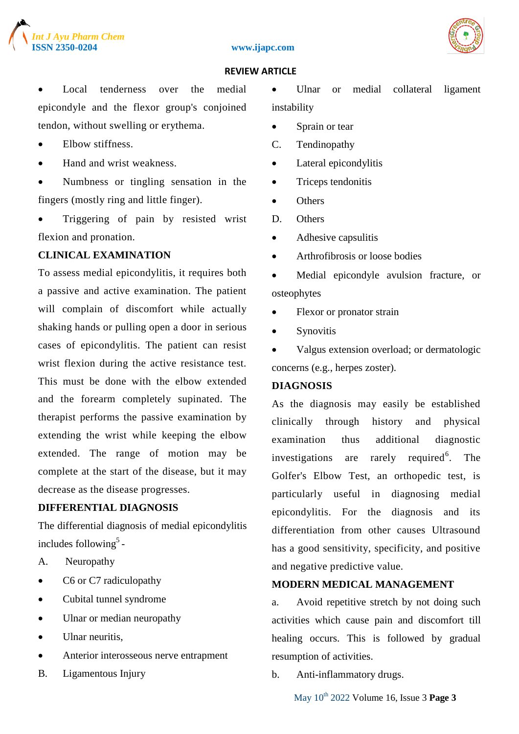





 Local tenderness over the medial epicondyle and the flexor group's conjoined tendon, without swelling or erythema.

- Elbow stiffness.
- Hand and wrist weakness.
- Numbness or tingling sensation in the fingers (mostly ring and little finger).
- Triggering of pain by resisted wrist flexion and pronation.

# **CLINICAL EXAMINATION**

To assess medial epicondylitis, it requires both a passive and active examination. The patient will complain of discomfort while actually shaking hands or pulling open a door in serious cases of epicondylitis. The patient can resist wrist flexion during the active resistance test. This must be done with the elbow extended and the forearm completely supinated. The therapist performs the passive examination by extending the wrist while keeping the elbow extended. The range of motion may be complete at the start of the disease, but it may decrease as the disease progresses.

# **DIFFERENTIAL DIAGNOSIS**

The differential diagnosis of medial epicondylitis includes following<sup>5</sup>-

- A. Neuropathy
- C6 or C7 radiculopathy
- Cubital tunnel syndrome
- Ulnar or median neuropathy
- Ulnar neuritis,
- Anterior interosseous nerve entrapment
- B. Ligamentous Injury

• Ulnar or medial collateral ligament instability

- Sprain or tear
- C. Tendinopathy
- Lateral epicondylitis
- Triceps tendonitis
- Others
- D. Others
- Adhesive capsulitis
- Arthrofibrosis or loose bodies
- Medial epicondyle avulsion fracture, or osteophytes
- Flexor or pronator strain
- Synovitis
- Valgus extension overload; or dermatologic concerns (e.g., herpes zoster).

# **DIAGNOSIS**

As the diagnosis may easily be established clinically through history and physical examination thus additional diagnostic investigations are rarely required<sup>6</sup>. . The Golfer's Elbow Test, an orthopedic test, is particularly useful in diagnosing medial epicondylitis. For the diagnosis and its differentiation from other causes Ultrasound has a good sensitivity, specificity, and positive and negative predictive value.

## **MODERN MEDICAL MANAGEMENT**

a. Avoid repetitive stretch by not doing such activities which cause pain and discomfort till healing occurs. This is followed by gradual resumption of activities.

b. Anti-inflammatory drugs.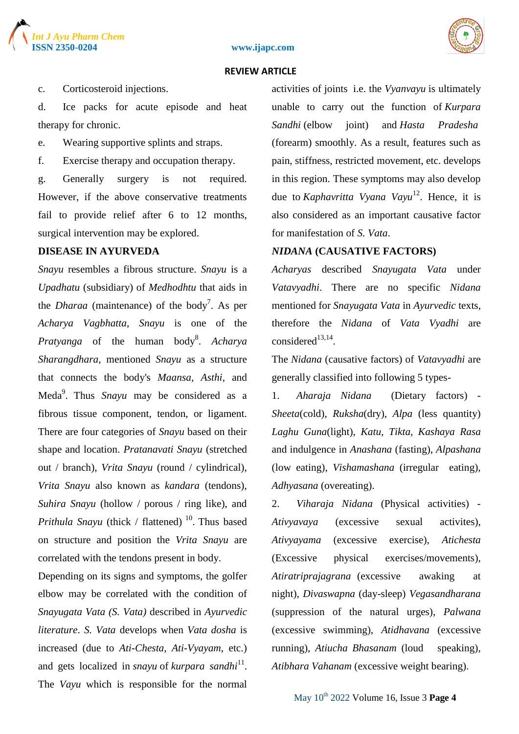





c. Corticosteroid injections.

d. Ice packs for acute episode and heat therapy for chronic.

e. Wearing supportive splints and straps.

f. Exercise therapy and occupation therapy.

g. Generally surgery is not required. However, if the above conservative treatments fail to provide relief after 6 to 12 months, surgical intervention may be explored.

# **DISEASE IN AYURVEDA**

*Snayu* resembles a fibrous structure. *Snayu* is a *Upadhatu* (subsidiary) of *Medhodhtu* that aids in the *Dharaa* (maintenance) of the body<sup>7</sup>. As per *Acharya Vagbhatta*, *Snayu* is one of the Pratyanga of the human body<sup>8</sup>. Acharya *Sharangdhara*, mentioned *Snayu* as a structure that connects the body's *Maansa, Asthi*, and Meda<sup>9</sup>. Thus *Snayu* may be considered as a fibrous tissue component, tendon, or ligament. There are four categories of *Snayu* based on their shape and location. *Pratanavati Snayu* (stretched out / branch), *Vrita Snayu* (round / cylindrical), *Vrita Snayu* also known as *kandara* (tendons), *Suhira Snayu* (hollow / porous / ring like), and *Prithula Snayu* (thick / flattened)  $^{10}$ . Thus based on structure and position the *Vrita Snayu* are correlated with the tendons present in body.

Depending on its signs and symptoms, the golfer elbow may be correlated with the condition of *Snayugata Vata (S. Vata)* described in *Ayurvedic literature*. *S. Vata* develops when *Vata dosha* is increased (due to *Ati-Chesta, Ati-Vyayam*, etc.) and gets localized in *snayu* of *kurpara sandhi*<sup>11</sup>. The *Vayu* which is responsible for the normal

activities of joints i.e. the *Vyanvayu* is ultimately unable to carry out the function of *Kurpara Sandhi* (elbow joint) and *Hasta Pradesha* (forearm) smoothly. As a result, features such as pain, stiffness, restricted movement, etc. develops in this region. These symptoms may also develop due to *Kaphavritta Vyana Vayu*<sup>12</sup>. Hence, it is also considered as an important causative factor for manifestation of *S. Vata*.

## *NIDANA* **(CAUSATIVE FACTORS)**

*Acharyas* described *Snayugata Vata* under *Vatavyadhi*. There are no specific *Nidana* mentioned for *Snayugata Vata* in *Ayurvedic* texts, therefore the *Nidana* of *Vata Vyadhi* are considered $^{13,14}$ .

The *Nidana* (causative factors) of *Vatavyadhi* are generally classified into following 5 types-

1. *Aharaja Nidana* (Dietary factors) - *Sheeta*(cold), *Ruksha*(dry), *Alpa* (less quantity) *Laghu Guna*(light), *Katu, Tikta, Kashaya Rasa* and indulgence in *Anashana* (fasting), *Alpashana* (low eating), *Vishamashana* (irregular eating), *Adhyasana* (overeating).

2. *Viharaja Nidana* (Physical activities) - *Ativyavaya* (excessive sexual activites), *Ativyayama* (excessive exercise), *Atichesta* (Excessive physical exercises/movements), *Atiratriprajagrana* (excessive awaking at night), *Divaswapna* (day-sleep) *Vegasandharana* (suppression of the natural urges), *Palwana* (excessive swimming), *Atidhavana* (excessive running), *Atiucha Bhasanam* (loud speaking), *Atibhara Vahanam* (excessive weight bearing).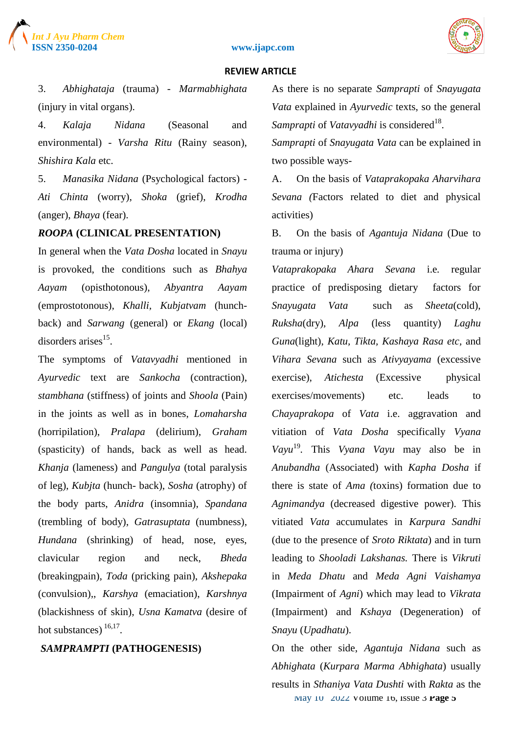



#### **REVIEW ARTICLE**

3. *Abhighataja* (trauma) - *Marmabhighata* (injury in vital organs).

4. *Kalaja Nidana* (Seasonal and environmental) - *Varsha Ritu* (Rainy season), *Shishira Kala* etc.

5. *Manasika Nidana* (Psychological factors) - *Ati Chinta* (worry), *Shoka* (grief), *Krodha* (anger), *Bhaya* (fear).

#### *ROOPA* **(CLINICAL PRESENTATION)**

In general when the *Vata Dosha* located in *Snayu*  is provoked, the conditions such as *Bhahya Aayam* (opisthotonous), *Abyantra Aayam* (emprostotonous), *Khalli, Kubjatvam* (hunchback) and *Sarwang* (general) or *Ekang* (local) disorders arises<sup>15</sup>.

The symptoms of *Vatavyadhi* mentioned in *Ayurvedic* text are *Sankocha* (contraction), *stambhana* (stiffness) of joints and *Shoola* (Pain) in the joints as well as in bones, *Lomaharsha*  (horripilation), *Pralapa* (delirium), *Graham* (spasticity) of hands, back as well as head. *Khanja* (lameness) and *Pangulya* (total paralysis of leg), *Kubjta* (hunch- back), *Sosha* (atrophy) of the body parts, *Anidra* (insomnia), *Spandana* (trembling of body), *Gatrasuptata* (numbness), *Hundana* (shrinking) of head, nose, eyes, clavicular region and neck, *Bheda* (breakingpain), *Toda* (pricking pain), *Akshepaka* (convulsion),, *Karshya* (emaciation), *Karshnya* (blackishness of skin), *Usna Kamatva* (desire of hot substances)  $16,17$ .

#### *SAMPRAMPTI* **(PATHOGENESIS)**

As there is no separate *Samprapti* of *Snayugata Vata* explained in *Ayurvedic* texts, so the general Samprapti of *Vatavyadhi* is considered<sup>18</sup>.

*Samprapti* of *Snayugata Vata* can be explained in two possible ways-

A. On the basis of *Vataprakopaka Aharvihara Sevana (*Factors related to diet and physical activities)

B. On the basis of *Agantuja Nidana* (Due to trauma or injury)

*Vataprakopaka Ahara Sevana* i.e*.* regular practice of predisposing dietary factors for *Snayugata Vata* such as *Sheeta*(cold), *Ruksha*(dry), *Alpa* (less quantity) *Laghu Guna*(light), *Katu, Tikta, Kashaya Rasa etc,* and *Vihara Sevana* such as *Ativyayama* (excessive exercise), *Atichesta* (Excessive physical exercises/movements) etc. leads to *Chayaprakopa* of *Vata* i.e. aggravation and vitiation of *Vata Dosha* specifically *Vyana Vayu*<sup>19</sup> *.* This *Vyana Vayu* may also be in *Anubandha* (Associated) with *Kapha Dosha* if there is state of *Ama (*toxins) formation due to *Agnimandya* (decreased digestive power)*.* This vitiated *Vata* accumulates in *Karpura Sandhi* (due to the presence of *Sroto Riktata*) and in turn leading to *Shooladi Lakshanas.* There is *Vikruti* in *Meda Dhatu* and *Meda Agni Vaishamya* (Impairment of *Agni*) which may lead to *Vikrata*  (Impairment) and *Kshaya* (Degeneration) of *Snayu* (*Upadhatu*).

May 10th 2022 Volume 16, Issue 3 **Page 5** On the other side, *Agantuja Nidana* such as *Abhighata* (*Kurpara Marma Abhighata*) usually results in *Sthaniya Vata Dushti* with *Rakta* as the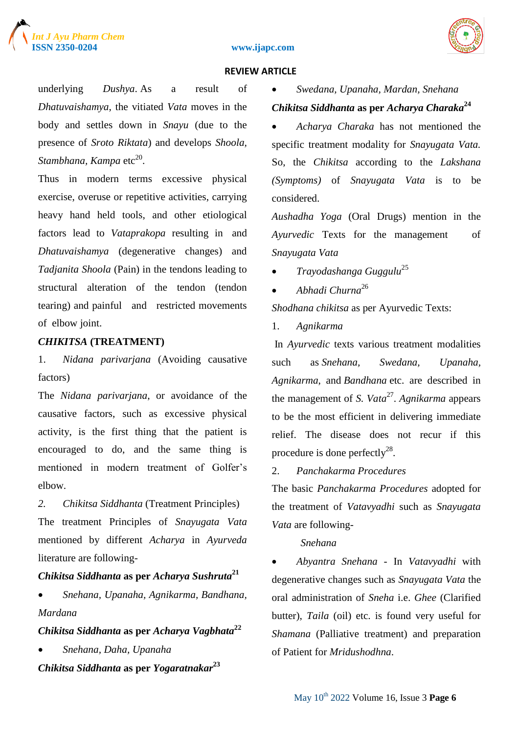



#### **REVIEW ARTICLE**

underlying *Dushya*. As a result of *Dhatuvaishamya*, the vitiated *Vata* moves in the body and settles down in *Snayu* (due to the presence of *Sroto Riktata*) and develops *Shoola,*  Stambhana, Kampa etc<sup>20</sup>.

Thus in modern terms excessive physical exercise, overuse or repetitive activities, carrying heavy hand held tools, and other etiological factors lead to *Vataprakopa* resulting in and *Dhatuvaishamya* (degenerative changes) and *Tadjanita Shoola* (Pain) in the tendons leading to structural alteration of the tendon (tendon tearing) and painful and restricted movements of elbow joint.

## *CHIKITSA* **(TREATMENT)**

1. *Nidana parivarjana* (Avoiding causative factors)

The *Nidana parivarjana*, or avoidance of the causative factors, such as excessive physical activity, is the first thing that the patient is encouraged to do, and the same thing is mentioned in modern treatment of Golfer's elbow.

*2. Chikitsa Siddhanta* (Treatment Principles) The treatment Principles of *Snayugata Vata*  mentioned by different *Acharya* in *Ayurveda* literature are following-

# *Chikitsa Siddhanta* **as per** *Acharya Sushruta***<sup>21</sup>**

 *Snehana, Upanaha, Agnikarma, Bandhana, Mardana*

# *Chikitsa Siddhanta* **as per** *Acharya Vagbhata***<sup>22</sup>**

*Snehana, Daha, Upanaha* 

*Chikitsa Siddhanta* **as per** *Yogaratnakar***<sup>23</sup>**

*Swedana, Upanaha, Mardan, Snehana*

# *Chikitsa Siddhanta* **as per** *Acharya Charaka***<sup>24</sup>**

 *Acharya Charaka* has not mentioned the specific treatment modality for *Snayugata Vata.* So, the *Chikitsa* according to the *Lakshana (Symptoms)* of *Snayugata Vata* is to be considered.

*Aushadha Yoga* (Oral Drugs) mention in the *Ayurvedic* Texts for the management of *Snayugata Vata* 

- *Trayodashanga Guggulu*<sup>25</sup>
- *Abhadi Churna*<sup>26</sup>

*Shodhana chikitsa* as per Ayurvedic Texts:

1. *Agnikarma*

In *Ayurvedic* texts various treatment modalities such as *Snehana, Swedana, Upanaha, Agnikarma*, and *Bandhana* etc. are described in the management of *S. Vata*<sup>27</sup>. Agnikarma appears to be the most efficient in delivering immediate relief. The disease does not recur if this procedure is done perfectly<sup>28</sup>.

## 2. *Panchakarma Procedures*

The basic *Panchakarma Procedures* adopted for the treatment of *Vatavyadhi* such as *Snayugata Vata* are following-

## *Snehana*

 *Abyantra Snehana* - In *Vatavyadhi* with degenerative changes such as *Snayugata Vata* the oral administration of *Sneha* i.e. *Ghee* (Clarified butter), *Taila* (oil) etc. is found very useful for *Shamana* (Palliative treatment) and preparation of Patient for *Mridushodhna*.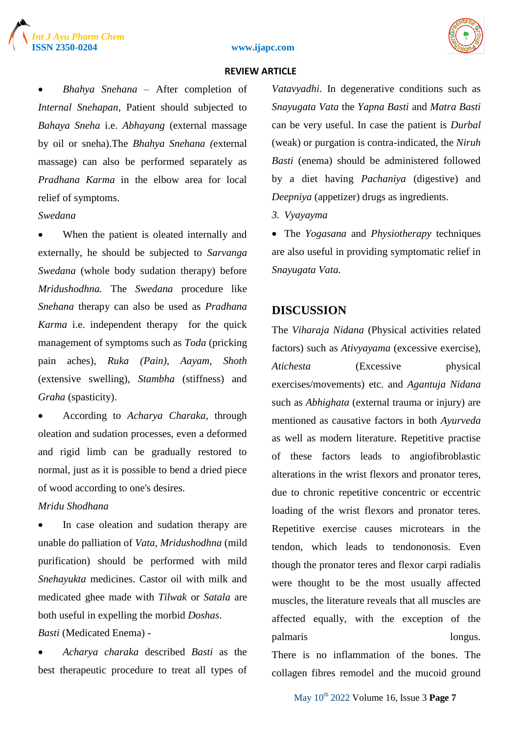



#### **REVIEW ARTICLE**

 *Bhahya Snehana* – After completion of *Internal Snehapan*, Patient should subjected to *Bahaya Sneha* i.e. *Abhayang* (external massage by oil or sneha).The *Bhahya Snehana (*external massage) can also be performed separately as *Pradhana Karma* in the elbow area for local relief of symptoms.

# *Swedana*

 When the patient is oleated internally and externally, he should be subjected to *Sarvanga Swedana* (whole body sudation therapy) before *Mridushodhna.* The *Swedana* procedure like *Snehana* therapy can also be used as *Pradhana Karma* i.e. independent therapy for the quick management of symptoms such as *Toda* (pricking pain aches), *Ruka (Pain)*, *Aayam, Shoth*  (extensive swelling), *Stambha* (stiffness) and *Graha* (spasticity).

 According to *Acharya Charaka*, through oleation and sudation processes, even a deformed and rigid limb can be gradually restored to normal, just as it is possible to bend a dried piece of wood according to one's desires.

# *Mridu Shodhana*

 In case oleation and sudation therapy are unable do palliation of *Vata*, *Mridushodhna* (mild purification) should be performed with mild *Snehayukta* medicines. Castor oil with milk and medicated ghee made with *Tilwak* or *Satala* are both useful in expelling the morbid *Doshas*.

## *Basti* (Medicated Enema) -

 *Acharya charaka* described *Basti* as the best therapeutic procedure to treat all types of

*Vatavyadhi*. In degenerative conditions such as *Snayugata Vata* the *Yapna Basti* and *Matra Basti* can be very useful. In case the patient is *Durbal*  (weak) or purgation is contra-indicated, the *Niruh Basti* (enema) should be administered followed by a diet having *Pachaniya* (digestive) and *Deepniya* (appetizer) drugs as ingredients.

*3. Vyayayma*

 The *Yogasana* and *Physiotherapy* techniques are also useful in providing symptomatic relief in *Snayugata Vata.*

# **DISCUSSION**

The *Viharaja Nidana* (Physical activities related factors) such as *Ativyayama* (excessive exercise), *Atichesta* (Excessive physical exercises/movements) etc. and *Agantuja Nidana*  such as *Abhighata* (external trauma or injury) are mentioned as causative factors in both *Ayurveda* as well as modern literature. Repetitive practise of these factors leads to angiofibroblastic alterations in the wrist flexors and pronator teres, due to chronic repetitive concentric or eccentric loading of the wrist flexors and pronator teres. Repetitive exercise causes microtears in the tendon, which leads to tendononosis. Even though the pronator teres and flexor carpi radialis were thought to be the most usually affected muscles, the literature reveals that all muscles are affected equally, with the exception of the palmaris longus.

There is no inflammation of the bones. The collagen fibres remodel and the mucoid ground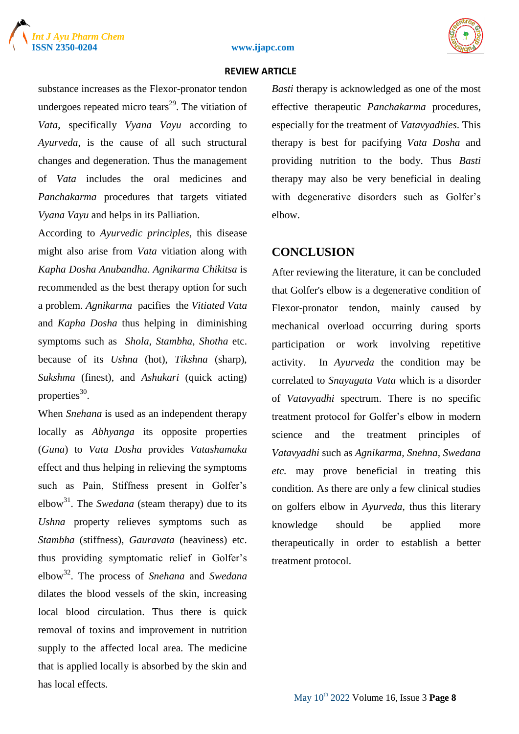





substance increases as the Flexor-pronator tendon undergoes repeated micro tears<sup>29</sup>. The vitiation of *Vata*, specifically *Vyana Vayu* according to *Ayurveda*, is the cause of all such structural changes and degeneration. Thus the management of *Vata* includes the oral medicines and *Panchakarma* procedures that targets vitiated *Vyana Vayu* and helps in its Palliation.

According to *Ayurvedic principles*, this disease might also arise from *Vata* vitiation along with *Kapha Dosha Anubandha*. *Agnikarma Chikitsa* is recommended as the best therapy option for such a problem. *Agnikarma* pacifies the *Vitiated Vata* and *Kapha Dosha* thus helping in diminishing symptoms such as *Shola*, *Stambha*, *Shotha* etc. because of its *Ushna* (hot), *Tikshna* (sharp), *Sukshma* (finest), and *Ashukari* (quick acting) properties<sup>30</sup>.

When *Snehana* is used as an independent therapy locally as *Abhyanga* its opposite properties (*Guna*) to *Vata Dosha* provides *Vatashamaka* effect and thus helping in relieving the symptoms such as Pain, Stiffness present in Golfer's elbow<sup>31</sup>. The *Swedana* (steam therapy) due to its *Ushna* property relieves symptoms such as *Stambha* (stiffness), *Gauravata* (heaviness) etc. thus providing symptomatic relief in Golfer"s elbow<sup>32</sup> . The process of *Snehana* and *Swedana* dilates the blood vessels of the skin, increasing local blood circulation. Thus there is quick removal of toxins and improvement in nutrition supply to the affected local area. The medicine that is applied locally is absorbed by the skin and has local effects.

*Basti* therapy is acknowledged as one of the most effective therapeutic *Panchakarma* procedures, especially for the treatment of *Vatavyadhies*. This therapy is best for pacifying *Vata Dosha* and providing nutrition to the body. Thus *Basti* therapy may also be very beneficial in dealing with degenerative disorders such as Golfer's elbow.

# **CONCLUSION**

After reviewing the literature, it can be concluded that Golfer's elbow is a degenerative condition of Flexor-pronator tendon, mainly caused by mechanical overload occurring during sports participation or work involving repetitive activity. In *Ayurveda* the condition may be correlated to *Snayugata Vata* which is a disorder of *Vatavyadhi* spectrum. There is no specific treatment protocol for Golfer"s elbow in modern science and the treatment principles of *Vatavyadhi* such as *Agnikarma, Snehna, Swedana etc.* may prove beneficial in treating this condition. As there are only a few clinical studies on golfers elbow in *Ayurveda*, thus this literary knowledge should be applied more therapeutically in order to establish a better treatment protocol.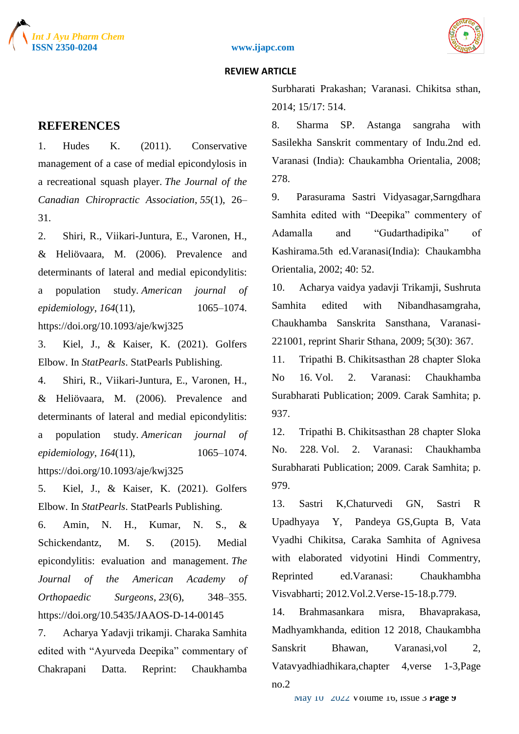





# **REFERENCES**

1. Hudes K. (2011). Conservative management of a case of medial epicondylosis in a recreational squash player. *The Journal of the Canadian Chiropractic Association*, *55*(1), 26– 31.

2. Shiri, R., Viikari-Juntura, E., Varonen, H., & Heliövaara, M. (2006). Prevalence and determinants of lateral and medial epicondylitis: a population study. *American journal of epidemiology*, *164*(11), 1065–1074. https://doi.org/10.1093/aje/kwj325

3. Kiel, J., & Kaiser, K. (2021). Golfers Elbow. In *StatPearls*. StatPearls Publishing.

4. Shiri, R., Viikari-Juntura, E., Varonen, H., & Heliövaara, M. (2006). Prevalence and determinants of lateral and medial epicondylitis: a population study. *American journal of epidemiology*, *164*(11), 1065–1074. https://doi.org/10.1093/aje/kwj325

5. Kiel, J., & Kaiser, K. (2021). Golfers Elbow. In *StatPearls*. StatPearls Publishing.

6. Amin, N. H., Kumar, N. S., & Schickendantz, M. S. (2015). Medial epicondylitis: evaluation and management. *The Journal of the American Academy of Orthopaedic Surgeons*, *23*(6), 348–355. https://doi.org/10.5435/JAAOS-D-14-00145

7. Acharya Yadavji trikamji. Charaka Samhita edited with "Ayurveda Deepika" commentary of Chakrapani Datta. Reprint: Chaukhamba

Surbharati Prakashan; Varanasi. Chikitsa sthan, 2014; 15/17: 514.

8. Sharma SP. Astanga sangraha with Sasilekha Sanskrit commentary of Indu.2nd ed. Varanasi (India): Chaukambha Orientalia, 2008; 278.

9. Parasurama Sastri Vidyasagar,Sarngdhara Samhita edited with "Deepika" commentery of Adamalla and "Gudarthadipika" of Kashirama.5th ed.Varanasi(India): Chaukambha Orientalia, 2002; 40: 52.

10. Acharya vaidya yadavji Trikamji, Sushruta Samhita edited with Nibandhasamgraha, Chaukhamba Sanskrita Sansthana, Varanasi-221001, reprint Sharir Sthana, 2009; 5(30): 367.

11. Tripathi B. Chikitsasthan 28 chapter Sloka No 16. Vol. 2. Varanasi: Chaukhamba Surabharati Publication; 2009. Carak Samhita; p. 937.

12. Tripathi B. Chikitsasthan 28 chapter Sloka No. 228. Vol. 2. Varanasi: Chaukhamba Surabharati Publication; 2009. Carak Samhita; p. 979.

13. Sastri K,Chaturvedi GN, Sastri R Upadhyaya Y, Pandeya GS,Gupta B, Vata Vyadhi Chikitsa, Caraka Samhita of Agnivesa with elaborated vidyotini Hindi Commentry, Reprinted ed.Varanasi: Chaukhambha Visvabharti; 2012.Vol.2.Verse-15-18.p.779.

14. Brahmasankara misra, Bhavaprakasa, Madhyamkhanda, edition 12 2018, Chaukambha Sanskrit Bhawan, Varanasi,vol 2, Vatavyadhiadhikara,chapter 4,verse 1-3,Page no.2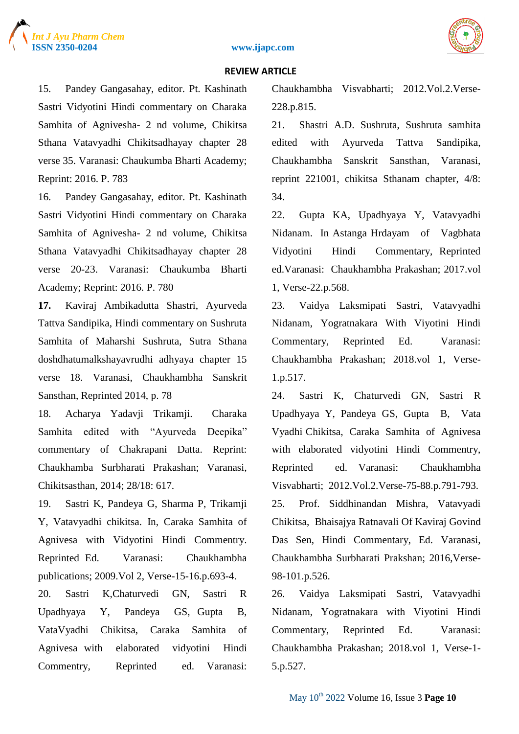

#### **REVIEW ARTICLE**

15. Pandey Gangasahay, editor. Pt. Kashinath Sastri Vidyotini Hindi commentary on Charaka Samhita of Agnivesha- 2 nd volume, Chikitsa Sthana Vatavyadhi Chikitsadhayay chapter 28 verse 35. Varanasi: Chaukumba Bharti Academy; Reprint: 2016. P. 783

16. Pandey Gangasahay, editor. Pt. Kashinath Sastri Vidyotini Hindi commentary on Charaka Samhita of Agnivesha- 2 nd volume, Chikitsa Sthana Vatavyadhi Chikitsadhayay chapter 28 verse 20-23. Varanasi: Chaukumba Bharti Academy; Reprint: 2016. P. 780

**17.** Kaviraj Ambikadutta Shastri, Ayurveda Tattva Sandipika, Hindi commentary on Sushruta Samhita of Maharshi Sushruta, Sutra Sthana doshdhatumalkshayavrudhi adhyaya chapter 15 verse 18. Varanasi, Chaukhambha Sanskrit Sansthan, Reprinted 2014, p. 78

18. Acharya Yadavji Trikamji. Charaka Samhita edited with "Ayurveda Deepika" commentary of Chakrapani Datta. Reprint: Chaukhamba Surbharati Prakashan; Varanasi, Chikitsasthan, 2014; 28/18: 617.

19. Sastri K, Pandeya G, Sharma P, Trikamji Y, Vatavyadhi chikitsa. In, Caraka Samhita of Agnivesa with Vidyotini Hindi Commentry. Reprinted Ed. Varanasi: Chaukhambha publications; 2009.Vol 2, Verse-15-16.p.693-4.

20. Sastri K,Chaturvedi GN, Sastri R Upadhyaya Y, Pandeya GS, Gupta B, VataVyadhi Chikitsa, Caraka Samhita of Agnivesa with elaborated vidyotini Hindi Commentry, Reprinted ed. Varanasi: Chaukhambha Visvabharti; 2012.Vol.2.Verse-228.p.815.

21. Shastri A.D. Sushruta, Sushruta samhita edited with Ayurveda Tattva Sandipika, Chaukhambha Sanskrit Sansthan, Varanasi, reprint 221001, chikitsa Sthanam chapter, 4/8: 34.

22. Gupta KA, Upadhyaya Y, Vatavyadhi Nidanam. In Astanga Hrdayam of Vagbhata Vidyotini Hindi Commentary, Reprinted ed.Varanasi: Chaukhambha Prakashan; 2017.vol 1, Verse-22.p.568.

23. Vaidya Laksmipati Sastri, Vatavyadhi Nidanam, Yogratnakara With Viyotini Hindi Commentary, Reprinted Ed. Varanasi: Chaukhambha Prakashan; 2018.vol 1, Verse-1.p.517.

24. Sastri K, Chaturvedi GN, Sastri R Upadhyaya Y, Pandeya GS, Gupta B, Vata Vyadhi Chikitsa, Caraka Samhita of Agnivesa with elaborated vidyotini Hindi Commentry, Reprinted ed. Varanasi: Chaukhambha Visvabharti; 2012.Vol.2.Verse-75-88.p.791-793. 25. Prof. Siddhinandan Mishra, Vatavyadi Chikitsa, Bhaisajya Ratnavali Of Kaviraj Govind Das Sen, Hindi Commentary, Ed. Varanasi, Chaukhambha Surbharati Prakshan; 2016,Verse-98-101.p.526.

26. Vaidya Laksmipati Sastri, Vatavyadhi Nidanam, Yogratnakara with Viyotini Hindi Commentary, Reprinted Ed. Varanasi: Chaukhambha Prakashan; 2018.vol 1, Verse-1- 5.p.527.